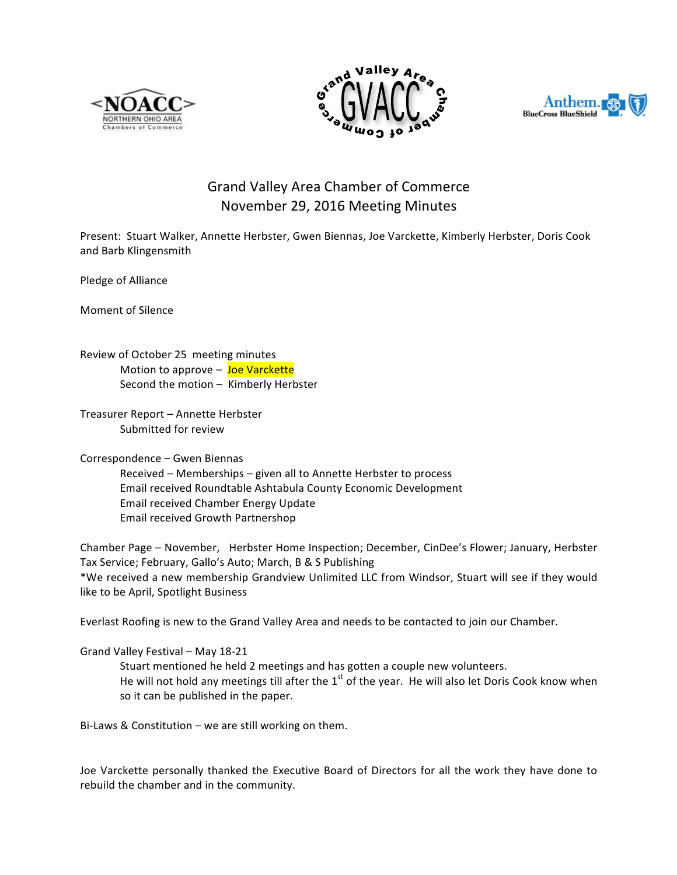





## Grand Valley Area Chamber of Commerce November 29, 2016 Meeting Minutes

Present: Stuart Walker, Annette Herbster, Gwen Biennas, Joe Varckette, Kimberly Herbster, Doris Cook and Barb Klingensmith

Pledge of Alliance

Moment of Silence

Review of October 25 meeting minutes Motion to approve  $-$  Joe Varckette Second the motion  $-$  Kimberly Herbster

Treasurer Report - Annette Herbster Submitted for review

Correspondence – Gwen Biennas Received - Memberships - given all to Annette Herbster to process Email received Roundtable Ashtabula County Economic Development Email received Chamber Energy Update Email received Growth Partnershop

Chamber Page – November, Herbster Home Inspection; December, CinDee's Flower; January, Herbster Tax Service; February, Gallo's Auto; March, B & S Publishing \*We received a new membership Grandview Unlimited LLC from Windsor, Stuart will see if they would like to be April, Spotlight Business

Everlast Roofing is new to the Grand Valley Area and needs to be contacted to join our Chamber.

Grand Valley Festival - May 18-21 Stuart mentioned he held 2 meetings and has gotten a couple new volunteers. He will not hold any meetings till after the  $1^{st}$  of the year. He will also let Doris Cook know when so it can be published in the paper.

Bi-Laws & Constitution – we are still working on them.

Joe Varckette personally thanked the Executive Board of Directors for all the work they have done to rebuild the chamber and in the community.